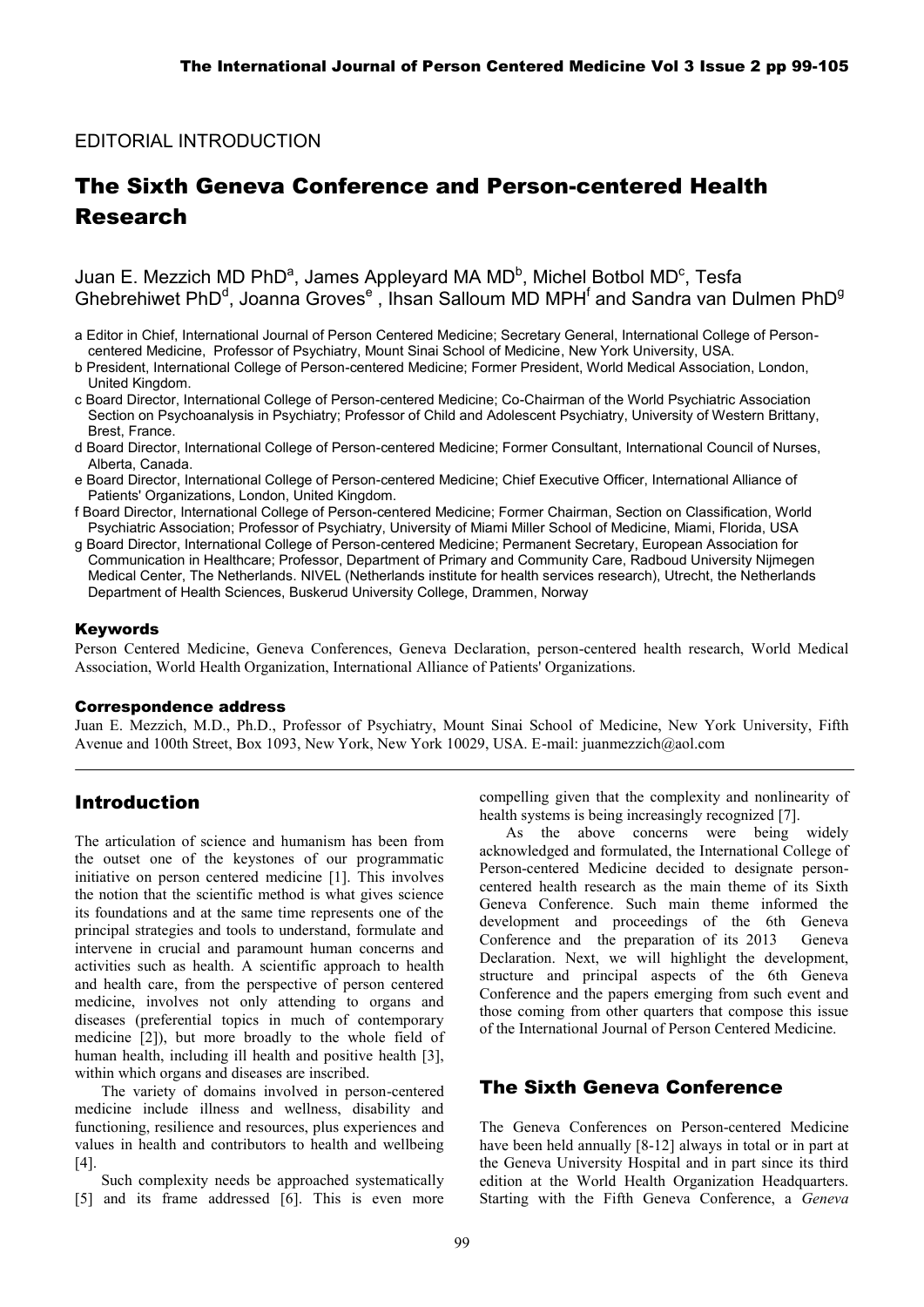### EDITORIAL INTRODUCTION

# The Sixth Geneva Conference and Person-centered Health Research

### Juan E. Mezzich MD PhD<sup>a</sup>, James Appleyard MA MD<sup>b</sup>, Michel Botbol MD<sup>c</sup>, Tesfa Ghebrehiwet PhD<sup>d</sup>, Joanna Groves<sup>e</sup>, Ihsan Salloum MD MPH<sup>f</sup> and Sandra van Dulmen PhD<sup>9</sup>

- a Editor in Chief, International Journal of Person Centered Medicine; Secretary General, International College of Personcentered Medicine, Professor of Psychiatry, Mount Sinai School of Medicine, New York University, USA.
- b President, International College of Person-centered Medicine; Former President, World Medical Association, London, United Kingdom.
- c Board Director, International College of Person-centered Medicine; Co-Chairman of the World Psychiatric Association Section on Psychoanalysis in Psychiatry; Professor of Child and Adolescent Psychiatry, University of Western Brittany, Brest, France.
- d Board Director, International College of Person-centered Medicine; Former Consultant, International Council of Nurses, Alberta, Canada.
- e Board Director, International College of Person-centered Medicine; Chief Executive Officer, International Alliance of Patients' Organizations, London, United Kingdom.
- f Board Director, International College of Person-centered Medicine; Former Chairman, Section on Classification, World Psychiatric Association; Professor of Psychiatry, University of Miami Miller School of Medicine, Miami, Florida, USA
- g Board Director, International College of Person-centered Medicine; Permanent Secretary, European Association for Communication in Healthcare; Professor, Department of Primary and Community Care, Radboud University Nijmegen Medical Center, The Netherlands. NIVEL (Netherlands institute for health services research), Utrecht, the Netherlands Department of Health Sciences, Buskerud University College, Drammen, Norway

#### Keywords

Person Centered Medicine, Geneva Conferences, Geneva Declaration, person-centered health research, World Medical Association, World Health Organization, International Alliance of Patients' Organizations.

#### Correspondence address

Juan E. Mezzich, M.D., Ph.D., Professor of Psychiatry, Mount Sinai School of Medicine, New York University, Fifth Avenue and 100th Street, Box 1093, New York, New York 10029, USA. E-mail: juanmezzich@aol.com

### Introduction

The articulation of science and humanism has been from the outset one of the keystones of our programmatic initiative on person centered medicine [1]. This involves the notion that the scientific method is what gives science its foundations and at the same time represents one of the principal strategies and tools to understand, formulate and intervene in crucial and paramount human concerns and activities such as health. A scientific approach to health and health care, from the perspective of person centered medicine, involves not only attending to organs and diseases (preferential topics in much of contemporary medicine [2]), but more broadly to the whole field of human health, including ill health and positive health [3], within which organs and diseases are inscribed.

The variety of domains involved in person-centered medicine include illness and wellness, disability and functioning, resilience and resources, plus experiences and values in health and contributors to health and wellbeing [4].

Such complexity needs be approached systematically [5] and its frame addressed [6]. This is even more compelling given that the complexity and nonlinearity of health systems is being increasingly recognized [7].

As the above concerns were being widely acknowledged and formulated, the International College of Person-centered Medicine decided to designate personcentered health research as the main theme of its Sixth Geneva Conference. Such main theme informed the development and proceedings of the 6th Geneva Conference and the preparation of its 2013 Geneva Declaration. Next, we will highlight the development, structure and principal aspects of the 6th Geneva Conference and the papers emerging from such event and those coming from other quarters that compose this issue of the International Journal of Person Centered Medicine.

### The Sixth Geneva Conference

The Geneva Conferences on Person-centered Medicine have been held annually [8-12] always in total or in part at the Geneva University Hospital and in part since its third edition at the World Health Organization Headquarters. Starting with the Fifth Geneva Conference, a *Geneva*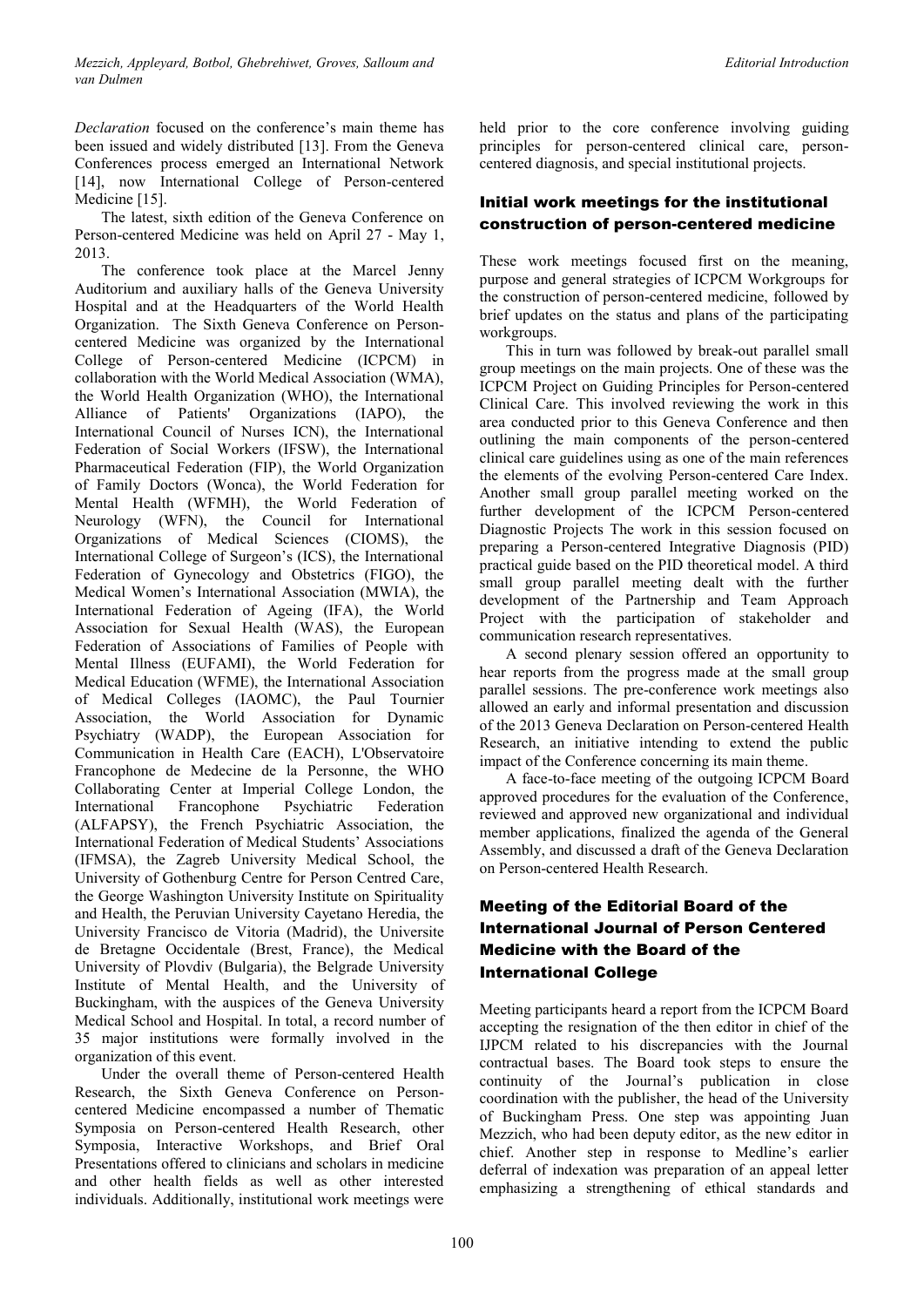*Declaration* focused on the conference's main theme has been issued and widely distributed [13]. From the Geneva Conferences process emerged an International Network [14], now International College of Person-centered Medicine [15].

The latest, sixth edition of the Geneva Conference on Person-centered Medicine was held on April 27 - May 1, 2013.

The conference took place at the Marcel Jenny Auditorium and auxiliary halls of the Geneva University Hospital and at the Headquarters of the World Health Organization. The Sixth Geneva Conference on Personcentered Medicine was organized by the International College of Person-centered Medicine (ICPCM) in collaboration with the World Medical Association (WMA), the World Health Organization (WHO), the International Alliance of Patients' Organizations (IAPO), the International Council of Nurses ICN), the International Federation of Social Workers (IFSW), the International Pharmaceutical Federation (FIP), the World Organization of Family Doctors (Wonca), the World Federation for Mental Health (WFMH), the World Federation of Neurology (WFN), the Council for International Organizations of Medical Sciences (CIOMS), the International College of Surgeon's (ICS), the International Federation of Gynecology and Obstetrics (FIGO), the Medical Women's International Association (MWIA), the International Federation of Ageing (IFA), the World Association for Sexual Health (WAS), the European Federation of Associations of Families of People with Mental Illness (EUFAMI), the World Federation for Medical Education (WFME), the International Association of Medical Colleges (IAOMC), the Paul Tournier Association, the World Association for Dynamic Psychiatry (WADP), the European Association for Communication in Health Care (EACH), L'Observatoire Francophone de Medecine de la Personne, the WHO Collaborating Center at Imperial College London, the International Francophone Psychiatric Federation (ALFAPSY), the French Psychiatric Association, the International Federation of Medical Students' Associations (IFMSA), the Zagreb University Medical School, the University of Gothenburg Centre for Person Centred Care, the George Washington University Institute on Spirituality and Health, the Peruvian University Cayetano Heredia, the University Francisco de Vitoria (Madrid), the Universite de Bretagne Occidentale (Brest, France), the Medical University of Plovdiv (Bulgaria), the Belgrade University Institute of Mental Health, and the University of Buckingham, with the auspices of the Geneva University Medical School and Hospital. In total, a record number of 35 major institutions were formally involved in the organization of this event.

Under the overall theme of Person-centered Health Research, the Sixth Geneva Conference on Personcentered Medicine encompassed a number of Thematic Symposia on Person-centered Health Research, other Symposia, Interactive Workshops, and Brief Oral Presentations offered to clinicians and scholars in medicine and other health fields as well as other interested individuals. Additionally, institutional work meetings were

held prior to the core conference involving guiding principles for person-centered clinical care, personcentered diagnosis, and special institutional projects.

#### Initial work meetings for the institutional construction of person-centered medicine

These work meetings focused first on the meaning, purpose and general strategies of ICPCM Workgroups for the construction of person-centered medicine, followed by brief updates on the status and plans of the participating workgroups.

This in turn was followed by break-out parallel small group meetings on the main projects. One of these was the ICPCM Project on Guiding Principles for Person-centered Clinical Care. This involved reviewing the work in this area conducted prior to this Geneva Conference and then outlining the main components of the person-centered clinical care guidelines using as one of the main references the elements of the evolving Person-centered Care Index. Another small group parallel meeting worked on the further development of the ICPCM Person-centered Diagnostic Projects The work in this session focused on preparing a Person-centered Integrative Diagnosis (PID) practical guide based on the PID theoretical model. A third small group parallel meeting dealt with the further development of the Partnership and Team Approach Project with the participation of stakeholder and communication research representatives.

A second plenary session offered an opportunity to hear reports from the progress made at the small group parallel sessions. The pre-conference work meetings also allowed an early and informal presentation and discussion of the 2013 Geneva Declaration on Person-centered Health Research, an initiative intending to extend the public impact of the Conference concerning its main theme.

A face-to-face meeting of the outgoing ICPCM Board approved procedures for the evaluation of the Conference, reviewed and approved new organizational and individual member applications, finalized the agenda of the General Assembly, and discussed a draft of the Geneva Declaration on Person-centered Health Research.

#### Meeting of the Editorial Board of the International Journal of Person Centered Medicine with the Board of the International College

Meeting participants heard a report from the ICPCM Board accepting the resignation of the then editor in chief of the IJPCM related to his discrepancies with the Journal contractual bases. The Board took steps to ensure the continuity of the Journal's publication in close coordination with the publisher, the head of the University of Buckingham Press. One step was appointing Juan Mezzich, who had been deputy editor, as the new editor in chief. Another step in response to Medline's earlier deferral of indexation was preparation of an appeal letter emphasizing a strengthening of ethical standards and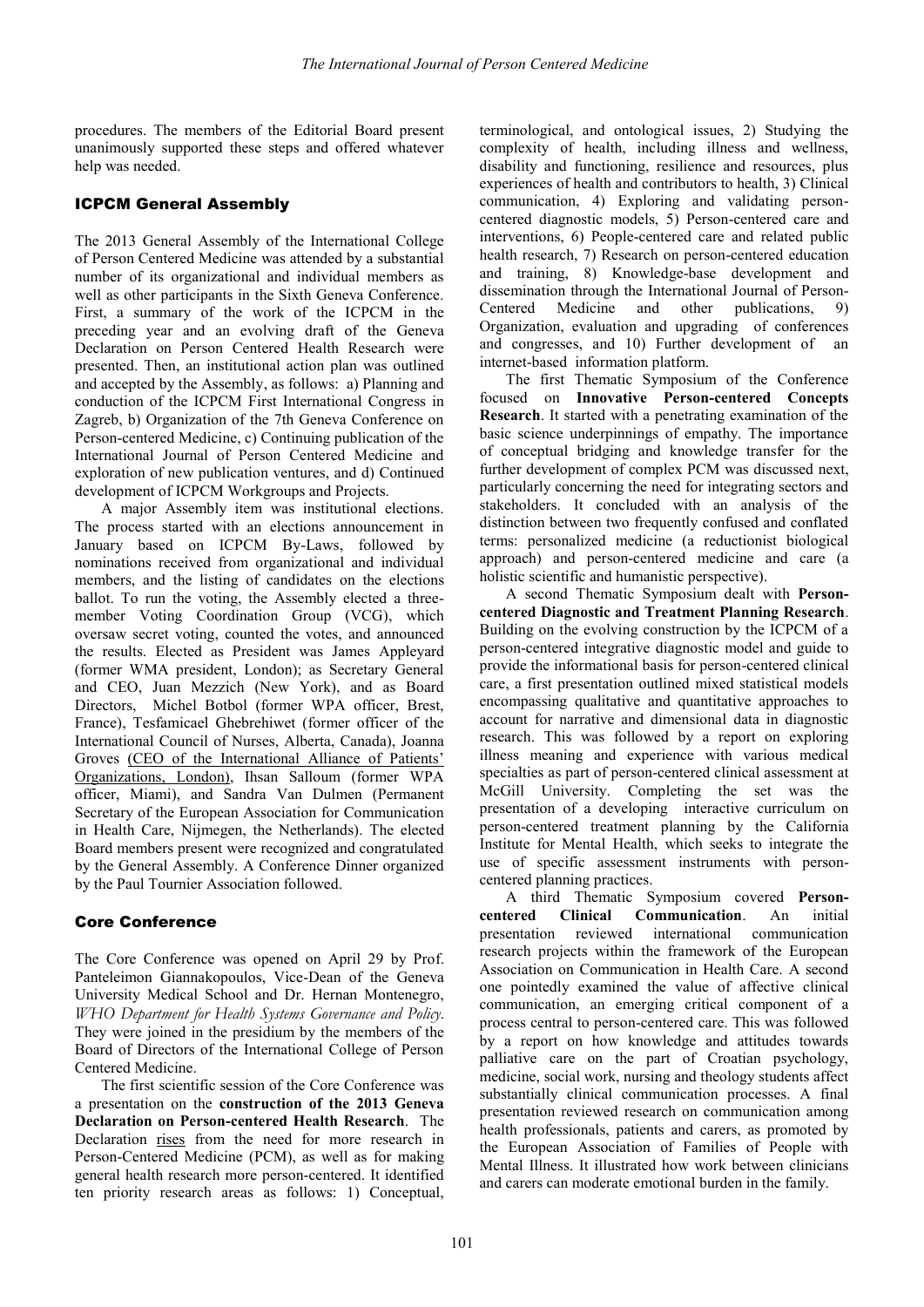procedures. The members of the Editorial Board present unanimously supported these steps and offered whatever help was needed.

#### ICPCM General Assembly

The 2013 General Assembly of the International College of Person Centered Medicine was attended by a substantial number of its organizational and individual members as well as other participants in the Sixth Geneva Conference. First, a summary of the work of the ICPCM in the preceding year and an evolving draft of the Geneva Declaration on Person Centered Health Research were presented. Then, an institutional action plan was outlined and accepted by the Assembly, as follows: a) Planning and conduction of the ICPCM First International Congress in Zagreb, b) Organization of the 7th Geneva Conference on Person-centered Medicine, c) Continuing publication of the International Journal of Person Centered Medicine and exploration of new publication ventures, and d) Continued development of ICPCM Workgroups and Projects.

A major Assembly item was institutional elections. The process started with an elections announcement in January based on ICPCM By-Laws, followed by nominations received from organizational and individual members, and the listing of candidates on the elections ballot. To run the voting, the Assembly elected a threemember Voting Coordination Group (VCG), which oversaw secret voting, counted the votes, and announced the results. Elected as President was James Appleyard (former WMA president, London); as Secretary General and CEO, Juan Mezzich (New York), and as Board Directors, Michel Botbol (former WPA officer, Brest, France), Tesfamicael Ghebrehiwet (former officer of the International Council of Nurses, Alberta, Canada), Joanna Groves (CEO of the International Alliance of Patients' Organizations, London), Ihsan Salloum (former WPA officer, Miami), and Sandra Van Dulmen (Permanent Secretary of the European Association for Communication in Health Care, Nijmegen, the Netherlands). The elected Board members present were recognized and congratulated by the General Assembly. A Conference Dinner organized by the Paul Tournier Association followed.

#### Core Conference

The Core Conference was opened on April 29 by Prof. Panteleimon Giannakopoulos, Vice-Dean of the Geneva University Medical School and Dr. Hernan Montenegro, *WHO Department for Health Systems Governance and Policy*. They were joined in the presidium by the members of the Board of Directors of the International College of Person Centered Medicine.

The first scientific session of the Core Conference was a presentation on the **construction of the 2013 Geneva Declaration on Person-centered Health Research**. The Declaration rises from the need for more research in Person-Centered Medicine (PCM), as well as for making general health research more person-centered. It identified ten priority research areas as follows: 1) Conceptual,

terminological, and ontological issues, 2) Studying the complexity of health, including illness and wellness, disability and functioning, resilience and resources, plus experiences of health and contributors to health, 3) Clinical communication, 4) Exploring and validating personcentered diagnostic models, 5) Person-centered care and interventions, 6) People-centered care and related public health research, 7) Research on person-centered education and training, 8) Knowledge-base development and dissemination through the International Journal of Person-Centered Medicine and other publications, 9) Organization, evaluation and upgrading of conferences and congresses, and 10) Further development of an internet-based information platform.

The first Thematic Symposium of the Conference focused on **Innovative Person-centered Concepts Research**. It started with a penetrating examination of the basic science underpinnings of empathy. The importance of conceptual bridging and knowledge transfer for the further development of complex PCM was discussed next, particularly concerning the need for integrating sectors and stakeholders. It concluded with an analysis of the distinction between two frequently confused and conflated terms: personalized medicine (a reductionist biological approach) and person-centered medicine and care (a holistic scientific and humanistic perspective).

A second Thematic Symposium dealt with **Personcentered Diagnostic and Treatment Planning Research**. Building on the evolving construction by the ICPCM of a person-centered integrative diagnostic model and guide to provide the informational basis for person-centered clinical care, a first presentation outlined mixed statistical models encompassing qualitative and quantitative approaches to account for narrative and dimensional data in diagnostic research. This was followed by a report on exploring illness meaning and experience with various medical specialties as part of person-centered clinical assessment at McGill University. Completing the set was the presentation of a developing interactive curriculum on person-centered treatment planning by the California Institute for Mental Health, which seeks to integrate the use of specific assessment instruments with personcentered planning practices.

A third Thematic Symposium covered **Personcentered Clinical Communication**. An initial presentation reviewed international communication research projects within the framework of the European Association on Communication in Health Care. A second one pointedly examined the value of affective clinical communication, an emerging critical component of a process central to person-centered care. This was followed by a report on how knowledge and attitudes towards palliative care on the part of Croatian psychology, medicine, social work, nursing and theology students affect substantially clinical communication processes. A final presentation reviewed research on communication among health professionals, patients and carers, as promoted by the European Association of Families of People with Mental Illness. It illustrated how work between clinicians and carers can moderate emotional burden in the family.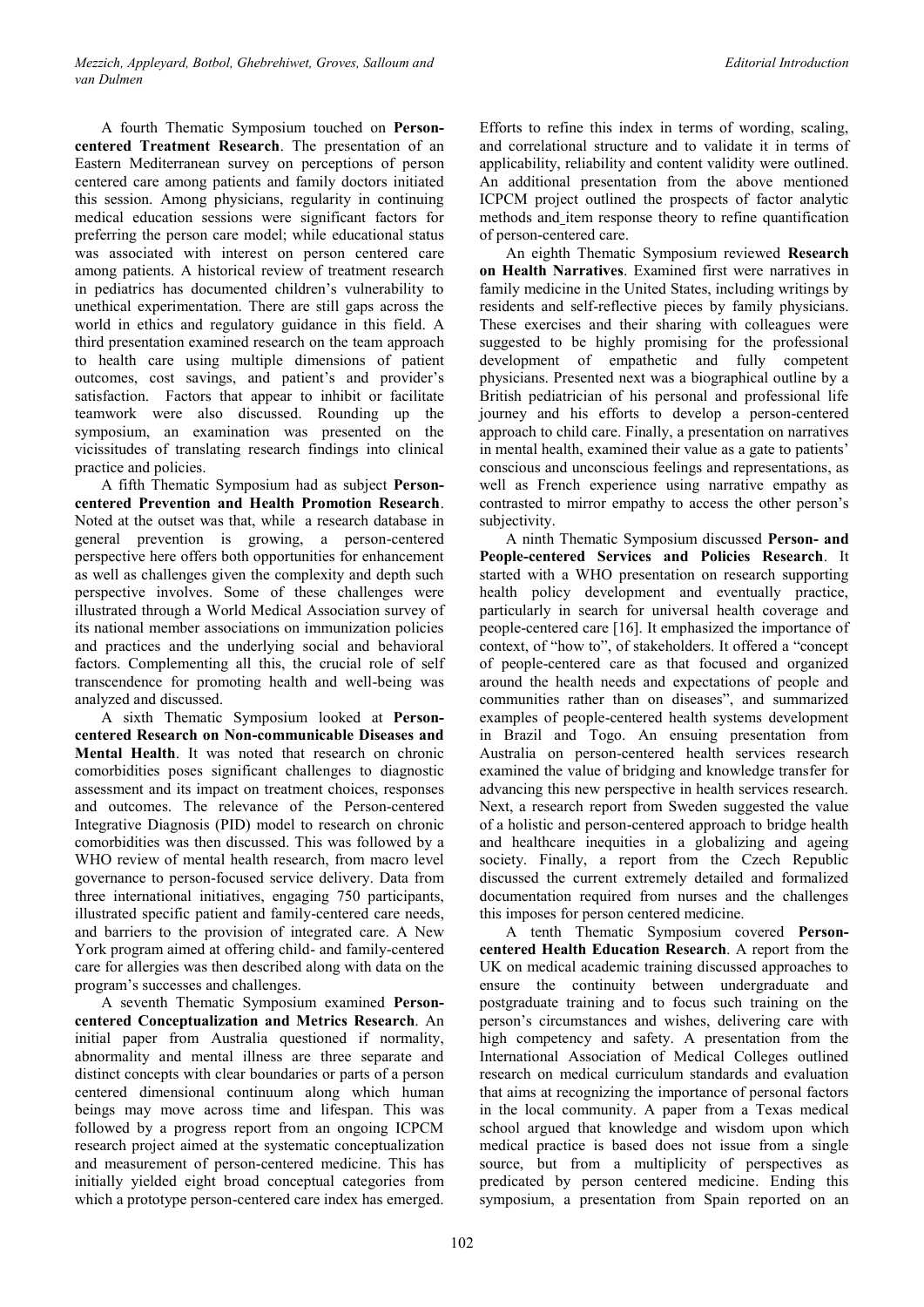A fourth Thematic Symposium touched on **Personcentered Treatment Research**. The presentation of an Eastern Mediterranean survey on perceptions of person centered care among patients and family doctors initiated this session. Among physicians, regularity in continuing medical education sessions were significant factors for preferring the person care model; while educational status was associated with interest on person centered care among patients. A historical review of treatment research in pediatrics has documented children's vulnerability to unethical experimentation. There are still gaps across the world in ethics and regulatory guidance in this field. A third presentation examined research on the team approach to health care using multiple dimensions of patient outcomes, cost savings, and patient's and provider's satisfaction. Factors that appear to inhibit or facilitate teamwork were also discussed. Rounding up the symposium, an examination was presented on the vicissitudes of translating research findings into clinical practice and policies.

A fifth Thematic Symposium had as subject **Personcentered Prevention and Health Promotion Research**. Noted at the outset was that, while a research database in general prevention is growing, a person-centered perspective here offers both opportunities for enhancement as well as challenges given the complexity and depth such perspective involves. Some of these challenges were illustrated through a World Medical Association survey of its national member associations on immunization policies and practices and the underlying social and behavioral factors. Complementing all this, the crucial role of self transcendence for promoting health and well-being was analyzed and discussed.

A sixth Thematic Symposium looked at **Personcentered Research on Non-communicable Diseases and Mental Health**. It was noted that research on chronic comorbidities poses significant challenges to diagnostic assessment and its impact on treatment choices, responses and outcomes. The relevance of the Person-centered Integrative Diagnosis (PID) model to research on chronic comorbidities was then discussed. This was followed by a WHO review of mental health research, from macro level governance to person-focused service delivery. Data from three international initiatives, engaging 750 participants, illustrated specific patient and family-centered care needs, and barriers to the provision of integrated care. A New York program aimed at offering child- and family-centered care for allergies was then described along with data on the program's successes and challenges.

A seventh Thematic Symposium examined **Personcentered Conceptualization and Metrics Research**. An initial paper from Australia questioned if normality, abnormality and mental illness are three separate and distinct concepts with clear boundaries or parts of a person centered dimensional continuum along which human beings may move across time and lifespan. This was followed by a progress report from an ongoing ICPCM research project aimed at the systematic conceptualization and measurement of person-centered medicine. This has initially yielded eight broad conceptual categories from which a prototype person-centered care index has emerged.

Efforts to refine this index in terms of wording, scaling, and correlational structure and to validate it in terms of applicability, reliability and content validity were outlined. An additional presentation from the above mentioned ICPCM project outlined the prospects of factor analytic methods and item response theory to refine quantification of person-centered care.

An eighth Thematic Symposium reviewed **Research on Health Narratives**. Examined first were narratives in family medicine in the United States, including writings by residents and self-reflective pieces by family physicians. These exercises and their sharing with colleagues were suggested to be highly promising for the professional development of empathetic and fully competent physicians. Presented next was a biographical outline by a British pediatrician of his personal and professional life journey and his efforts to develop a person-centered approach to child care. Finally, a presentation on narratives in mental health, examined their value as a gate to patients' conscious and unconscious feelings and representations, as well as French experience using narrative empathy as contrasted to mirror empathy to access the other person's subjectivity.

A ninth Thematic Symposium discussed **Person- and People-centered Services and Policies Research**. It started with a WHO presentation on research supporting health policy development and eventually practice, particularly in search for universal health coverage and people-centered care [16]. It emphasized the importance of context, of "how to", of stakeholders. It offered a "concept of people-centered care as that focused and organized around the health needs and expectations of people and communities rather than on diseases", and summarized examples of people-centered health systems development in Brazil and Togo. An ensuing presentation from Australia on person-centered health services research examined the value of bridging and knowledge transfer for advancing this new perspective in health services research. Next, a research report from Sweden suggested the value of a holistic and person-centered approach to bridge health and healthcare inequities in a globalizing and ageing society. Finally, a report from the Czech Republic discussed the current extremely detailed and formalized documentation required from nurses and the challenges this imposes for person centered medicine.

A tenth Thematic Symposium covered **Personcentered Health Education Research**. A report from the UK on medical academic training discussed approaches to ensure the continuity between undergraduate and postgraduate training and to focus such training on the person's circumstances and wishes, delivering care with high competency and safety. A presentation from the International Association of Medical Colleges outlined research on medical curriculum standards and evaluation that aims at recognizing the importance of personal factors in the local community. A paper from a Texas medical school argued that knowledge and wisdom upon which medical practice is based does not issue from a single source, but from a multiplicity of perspectives as predicated by person centered medicine. Ending this symposium, a presentation from Spain reported on an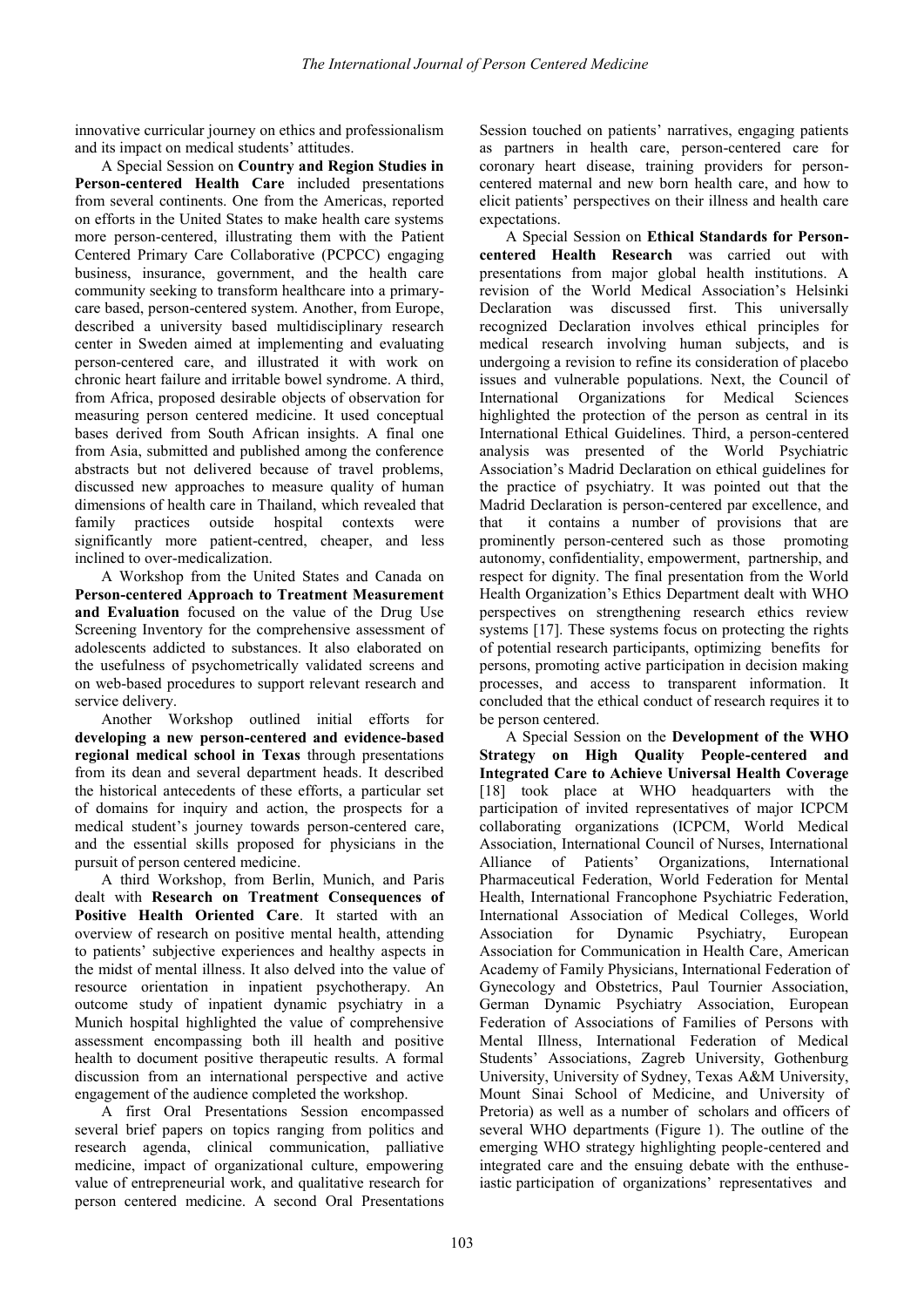innovative curricular journey on ethics and professionalism and its impact on medical students' attitudes.

A Special Session on **Country and Region Studies in Person-centered Health Care** included presentations from several continents. One from the Americas, reported on efforts in the United States to make health care systems more person-centered, illustrating them with the Patient Centered Primary Care Collaborative (PCPCC) engaging business, insurance, government, and the health care community seeking to transform healthcare into a primarycare based, person-centered system. Another, from Europe, described a university based multidisciplinary research center in Sweden aimed at implementing and evaluating person-centered care, and illustrated it with work on chronic heart failure and irritable bowel syndrome. A third, from Africa, proposed desirable objects of observation for measuring person centered medicine. It used conceptual bases derived from South African insights. A final one from Asia, submitted and published among the conference abstracts but not delivered because of travel problems, discussed new approaches to measure quality of human dimensions of health care in Thailand, which revealed that family practices outside hospital contexts were significantly more patient-centred, cheaper, and less inclined to over-medicalization.

A Workshop from the United States and Canada on **Person-centered Approach to Treatment Measurement and Evaluation** focused on the value of the Drug Use Screening Inventory for the comprehensive assessment of adolescents addicted to substances. It also elaborated on the usefulness of psychometrically validated screens and on web-based procedures to support relevant research and service delivery.

Another Workshop outlined initial efforts for **developing a new person-centered and evidence-based regional medical school in Texas** through presentations from its dean and several department heads. It described the historical antecedents of these efforts, a particular set of domains for inquiry and action, the prospects for a medical student's journey towards person-centered care, and the essential skills proposed for physicians in the pursuit of person centered medicine.

A third Workshop, from Berlin, Munich, and Paris dealt with **Research on Treatment Consequences of Positive Health Oriented Care**. It started with an overview of research on positive mental health, attending to patients' subjective experiences and healthy aspects in the midst of mental illness. It also delved into the value of resource orientation in inpatient psychotherapy. An outcome study of inpatient dynamic psychiatry in a Munich hospital highlighted the value of comprehensive assessment encompassing both ill health and positive health to document positive therapeutic results. A formal discussion from an international perspective and active engagement of the audience completed the workshop.

A first Oral Presentations Session encompassed several brief papers on topics ranging from politics and research agenda, clinical communication, palliative medicine, impact of organizational culture, empowering value of entrepreneurial work, and qualitative research for person centered medicine. A second Oral Presentations

Session touched on patients' narratives, engaging patients as partners in health care, person-centered care for coronary heart disease, training providers for personcentered maternal and new born health care, and how to elicit patients' perspectives on their illness and health care expectations.

A Special Session on **Ethical Standards for Personcentered Health Research** was carried out with presentations from major global health institutions. A revision of the World Medical Association's Helsinki Declaration was discussed first. This universally recognized Declaration involves ethical principles for medical research involving human subjects, and is undergoing a revision to refine its consideration of placebo issues and vulnerable populations. Next, the Council of International Organizations for Medical Sciences highlighted the protection of the person as central in its International Ethical Guidelines. Third, a person-centered analysis was presented of the World Psychiatric Association's Madrid Declaration on ethical guidelines for the practice of psychiatry. It was pointed out that the Madrid Declaration is person-centered par excellence, and that it contains a number of provisions that are prominently person-centered such as those promoting autonomy, confidentiality, empowerment, partnership, and respect for dignity. The final presentation from the World Health Organization's Ethics Department dealt with WHO perspectives on strengthening research ethics review systems [17]. These systems focus on protecting the rights of potential research participants, optimizing benefits for persons, promoting active participation in decision making processes, and access to transparent information. It concluded that the ethical conduct of research requires it to be person centered.

A Special Session on the **Development of the WHO Strategy on High Quality People-centered and Integrated Care to Achieve Universal Health Coverage**  [18] took place at WHO headquarters with the participation of invited representatives of major ICPCM collaborating organizations (ICPCM, World Medical Association, International Council of Nurses, International Alliance of Patients' Organizations, International Pharmaceutical Federation, World Federation for Mental Health, International Francophone Psychiatric Federation, International Association of Medical Colleges, World Association for Dynamic Psychiatry, European Association for Communication in Health Care, American Academy of Family Physicians, International Federation of Gynecology and Obstetrics, Paul Tournier Association, German Dynamic Psychiatry Association, European Federation of Associations of Families of Persons with Mental Illness, International Federation of Medical Students' Associations, Zagreb University, Gothenburg University, University of Sydney, Texas A&M University, Mount Sinai School of Medicine, and University of Pretoria) as well as a number of scholars and officers of several WHO departments (Figure 1). The outline of the emerging WHO strategy highlighting people-centered and integrated care and the ensuing debate with the enthuseiastic participation of organizations' representatives and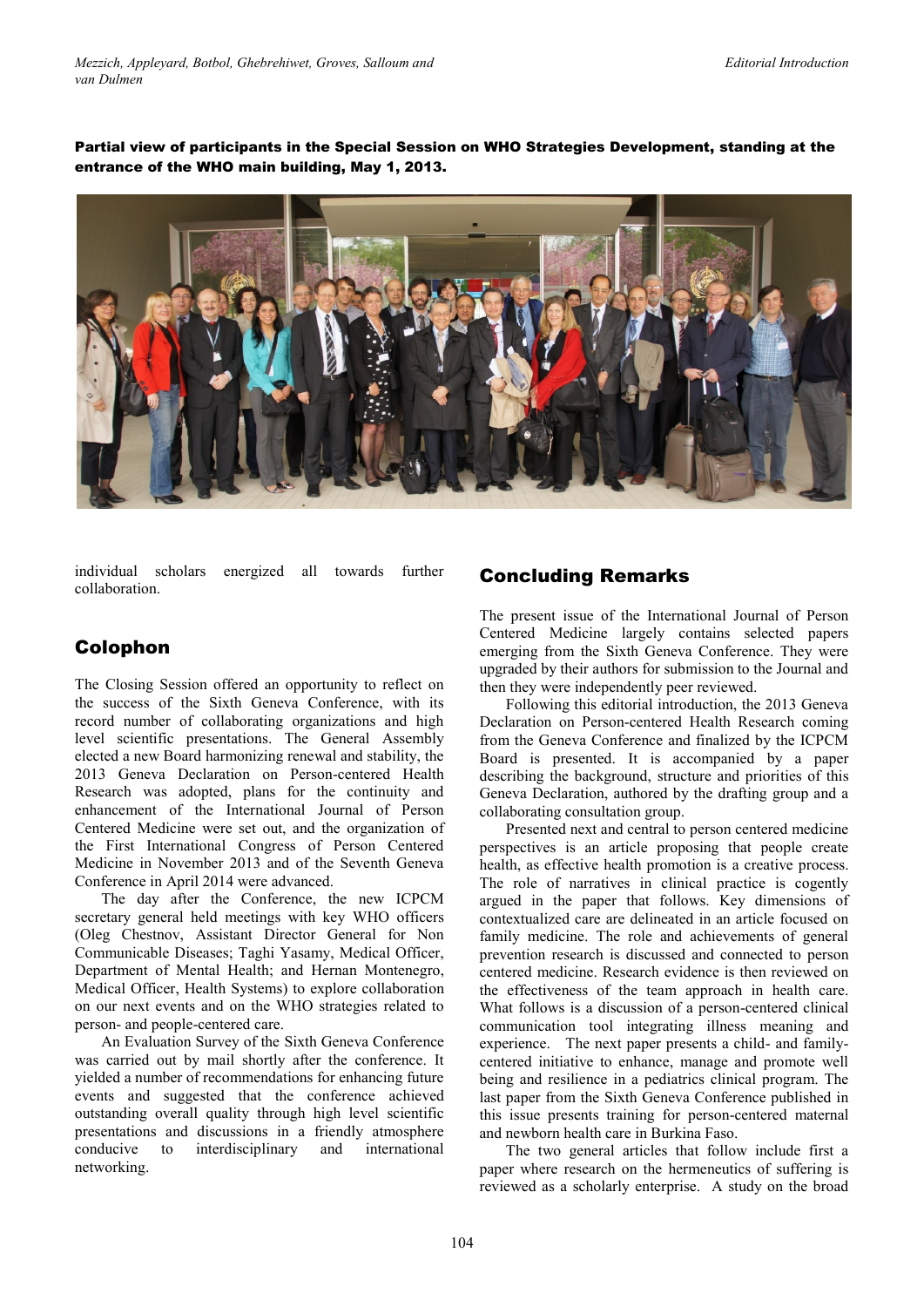Partial view of participants in the Special Session on WHO Strategies Development, standing at the entrance of the WHO main building, May 1, 2013.



individual scholars energized all towards further collaboration.

# Colophon

The Closing Session offered an opportunity to reflect on the success of the Sixth Geneva Conference, with its record number of collaborating organizations and high level scientific presentations. The General Assembly elected a new Board harmonizing renewal and stability, the 2013 Geneva Declaration on Person-centered Health Research was adopted, plans for the continuity and enhancement of the International Journal of Person Centered Medicine were set out, and the organization of the First International Congress of Person Centered Medicine in November 2013 and of the Seventh Geneva Conference in April 2014 were advanced.

The day after the Conference, the new ICPCM secretary general held meetings with key WHO officers (Oleg Chestnov, Assistant Director General for Non Communicable Diseases; Taghi Yasamy, Medical Officer, Department of Mental Health; and Hernan Montenegro, Medical Officer, Health Systems) to explore collaboration on our next events and on the WHO strategies related to person- and people-centered care.

An Evaluation Survey of the Sixth Geneva Conference was carried out by mail shortly after the conference. It yielded a number of recommendations for enhancing future events and suggested that the conference achieved outstanding overall quality through high level scientific presentations and discussions in a friendly atmosphere conducive to interdisciplinary and international networking.

## Concluding Remarks

The present issue of the International Journal of Person Centered Medicine largely contains selected papers emerging from the Sixth Geneva Conference. They were upgraded by their authors for submission to the Journal and then they were independently peer reviewed.

Following this editorial introduction, the 2013 Geneva Declaration on Person-centered Health Research coming from the Geneva Conference and finalized by the ICPCM Board is presented. It is accompanied by a paper describing the background, structure and priorities of this Geneva Declaration, authored by the drafting group and a collaborating consultation group.

Presented next and central to person centered medicine perspectives is an article proposing that people create health, as effective health promotion is a creative process. The role of narratives in clinical practice is cogently argued in the paper that follows. Key dimensions of contextualized care are delineated in an article focused on family medicine. The role and achievements of general prevention research is discussed and connected to person centered medicine. Research evidence is then reviewed on the effectiveness of the team approach in health care. What follows is a discussion of a person-centered clinical communication tool integrating illness meaning and experience. The next paper presents a child- and familycentered initiative to enhance, manage and promote well being and resilience in a pediatrics clinical program. The last paper from the Sixth Geneva Conference published in this issue presents training for person-centered maternal and newborn health care in Burkina Faso.

The two general articles that follow include first a paper where research on the hermeneutics of suffering is reviewed as a scholarly enterprise. A study on the broad